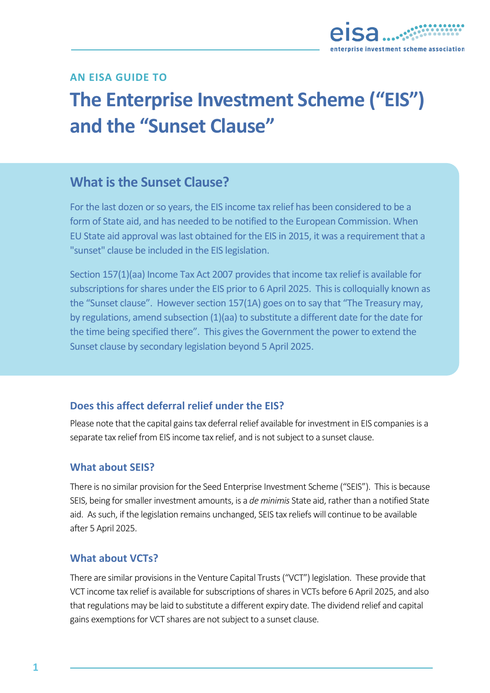

# **AN EISA GUIDE TO**

# **The Enterprise Investment Scheme ("EIS") and the "Sunset Clause"**

# **What is the Sunset Clause?**

For the last dozen or so years, the EIS income tax relief has been considered to be a form of State aid, and has needed to be notified to the European Commission. When EU State aid approval was last obtained for the EIS in 2015, it was a requirement that a "sunset" clause be included in the EIS legislation.

Section 157(1)(aa) Income Tax Act 2007 provides that income tax relief is available for subscriptions for shares under the EIS prior to 6 April 2025. This is colloquially known as the "Sunset clause". However section 157(1A) goes on to say that "The Treasury may, by regulations, amend subsection (1)(aa) to substitute a different date for the date for the time being specified there". This gives the Government the power to extend the Sunset clause by secondary legislation beyond 5 April 2025.

## **Does this affect deferral relief under the EIS?**

Please note that the capital gains tax deferral relief available for investment in EIS companies is a separate tax relief from EIS income tax relief, and is not subject to a sunset clause.

#### **What about SEIS?**

There is no similar provision for the Seed Enterprise Investment Scheme ("SEIS"). This is because SEIS, being for smaller investment amounts, is a *de minimis* State aid, rather than a notified State aid. As such, if the legislation remains unchanged, SEIS tax reliefs will continue to be available after 5 April 2025.

#### **What about VCTs?**

There are similar provisions in the Venture Capital Trusts ("VCT") legislation. These provide that VCT income tax relief is available for subscriptions of shares in VCTs before 6 April 2025, and also that regulations may be laid to substitute a different expiry date. The dividend relief and capital gains exemptions for VCT shares are not subject to a sunset clause.